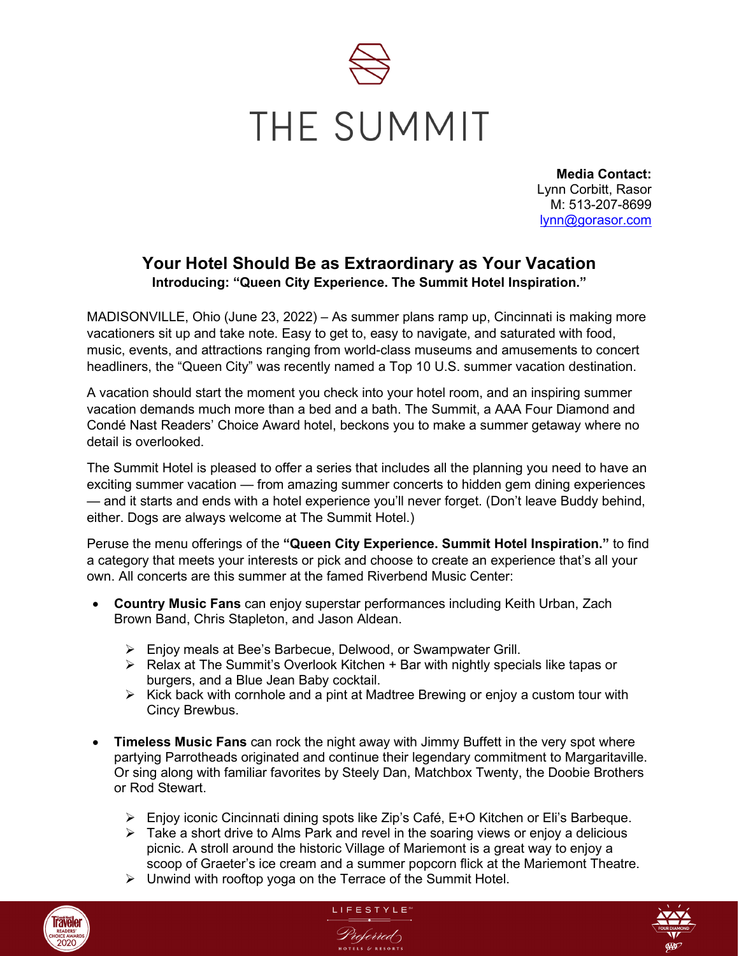

**Media Contact:** Lynn Corbitt, Rasor M: 513-207-8699 [lynn@gorasor.com](mailto:lynn@gorasor.com)

## **Your Hotel Should Be as Extraordinary as Your Vacation Introducing: "Queen City Experience. The Summit Hotel Inspiration."**

MADISONVILLE, Ohio (June 23, 2022) – As summer plans ramp up, Cincinnati is making more vacationers sit up and take note. Easy to get to, easy to navigate, and saturated with food, music, events, and attractions ranging from world-class museums and amusements to concert headliners, the "Queen City" was recently named a Top 10 U.S. summer vacation destination.

A vacation should start the moment you check into your hotel room, and an inspiring summer vacation demands much more than a bed and a bath. The Summit, a AAA Four Diamond and Condé Nast Readers' Choice Award hotel, beckons you to make a summer getaway where no detail is overlooked.

The Summit Hotel is pleased to offer a series that includes all the planning you need to have an exciting summer vacation — from amazing summer concerts to hidden gem dining experiences — and it starts and ends with a hotel experience you'll never forget. (Don't leave Buddy behind, either. Dogs are always welcome at The Summit Hotel.)

Peruse the menu offerings of the **"Queen City Experience. Summit Hotel Inspiration."** to find a category that meets your interests or pick and choose to create an experience that's all your own. All concerts are this summer at the famed Riverbend Music Center:

- **Country Music Fans** can enjoy superstar performances including Keith Urban, Zach Brown Band, Chris Stapleton, and Jason Aldean.
	- Enjoy meals at Bee's Barbecue, Delwood, or Swampwater Grill.
	- $\triangleright$  Relax at The Summit's Overlook Kitchen + Bar with nightly specials like tapas or burgers, and a Blue Jean Baby cocktail.
	- $\triangleright$  Kick back with cornhole and a pint at Madtree Brewing or enjoy a custom tour with Cincy Brewbus.
- **Timeless Music Fans** can rock the night away with Jimmy Buffett in the very spot where partying Parrotheads originated and continue their legendary commitment to Margaritaville. Or sing along with familiar favorites by Steely Dan, Matchbox Twenty, the Doobie Brothers or Rod Stewart.
	- Enjoy iconic Cincinnati dining spots like Zip's Café, E+O Kitchen or Eli's Barbeque.
	- $\triangleright$  Take a short drive to Alms Park and revel in the soaring views or enjoy a delicious picnic. A stroll around the historic Village of Mariemont is a great way to enjoy a scoop of Graeter's ice cream and a summer popcorn flick at the Mariemont Theatre.
	- $\triangleright$  Unwind with rooftop yoga on the Terrace of the Summit Hotel.